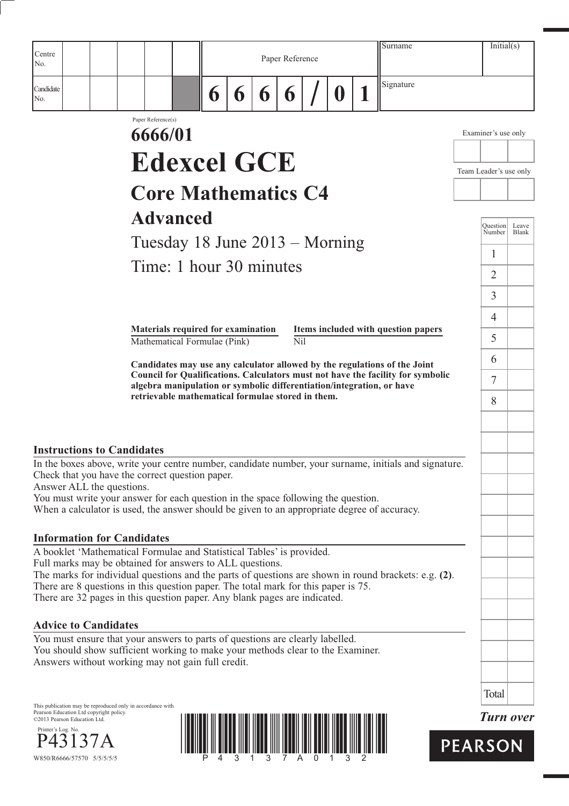|                                                                                                                                                                                                                      |                                                                    |   |                       |   |                 |   | Surname                                                                                                                                                  | Initial(s)             |              |
|----------------------------------------------------------------------------------------------------------------------------------------------------------------------------------------------------------------------|--------------------------------------------------------------------|---|-----------------------|---|-----------------|---|----------------------------------------------------------------------------------------------------------------------------------------------------------|------------------------|--------------|
| Centre<br>No.                                                                                                                                                                                                        |                                                                    |   |                       |   | Paper Reference |   |                                                                                                                                                          |                        |              |
| Candidate<br>No.                                                                                                                                                                                                     |                                                                    | 6 | $\boldsymbol{\theta}$ | 6 | 6               | D | Signature                                                                                                                                                |                        |              |
|                                                                                                                                                                                                                      | Paper Reference(s)                                                 |   |                       |   |                 |   |                                                                                                                                                          |                        |              |
|                                                                                                                                                                                                                      | 6666/01                                                            |   |                       |   |                 |   |                                                                                                                                                          | Examiner's use only    |              |
|                                                                                                                                                                                                                      | <b>Edexcel GCE</b>                                                 |   |                       |   |                 |   |                                                                                                                                                          | Team Leader's use only |              |
|                                                                                                                                                                                                                      | <b>Core Mathematics C4</b>                                         |   |                       |   |                 |   |                                                                                                                                                          |                        |              |
|                                                                                                                                                                                                                      | <b>Advanced</b>                                                    |   |                       |   |                 |   |                                                                                                                                                          | Ouestion               | Leave        |
|                                                                                                                                                                                                                      | Tuesday 18 June $2013 -$ Morning                                   |   |                       |   |                 |   |                                                                                                                                                          | Number                 | <b>Blank</b> |
|                                                                                                                                                                                                                      | Time: 1 hour 30 minutes                                            |   |                       |   |                 |   |                                                                                                                                                          | 1<br>$\overline{2}$    |              |
|                                                                                                                                                                                                                      |                                                                    |   |                       |   |                 |   |                                                                                                                                                          | $\mathfrak{Z}$         |              |
|                                                                                                                                                                                                                      |                                                                    |   |                       |   |                 |   |                                                                                                                                                          | 4                      |              |
|                                                                                                                                                                                                                      | Materials required for examination<br>Mathematical Formulae (Pink) |   |                       |   | Nil             |   | Items included with question papers                                                                                                                      | 5                      |              |
|                                                                                                                                                                                                                      |                                                                    |   |                       |   |                 |   | Candidates may use any calculator allowed by the regulations of the Joint                                                                                | 6                      |              |
|                                                                                                                                                                                                                      |                                                                    |   |                       |   |                 |   | Council for Qualifications. Calculators must not have the facility for symbolic<br>algebra manipulation or symbolic differentiation/integration, or have | $7\phantom{.0}$        |              |
|                                                                                                                                                                                                                      | retrievable mathematical formulae stored in them.                  |   |                       |   |                 |   |                                                                                                                                                          | 8                      |              |
|                                                                                                                                                                                                                      |                                                                    |   |                       |   |                 |   |                                                                                                                                                          |                        |              |
| <b>Instructions to Candidates</b>                                                                                                                                                                                    |                                                                    |   |                       |   |                 |   |                                                                                                                                                          |                        |              |
| In the boxes above, write your centre number, candidate number, your surname, initials and signature.<br>Check that you have the correct question paper.                                                             |                                                                    |   |                       |   |                 |   |                                                                                                                                                          |                        |              |
| Answer ALL the questions.<br>You must write your answer for each question in the space following the question.                                                                                                       |                                                                    |   |                       |   |                 |   |                                                                                                                                                          |                        |              |
| When a calculator is used, the answer should be given to an appropriate degree of accuracy.                                                                                                                          |                                                                    |   |                       |   |                 |   |                                                                                                                                                          |                        |              |
| <b>Information for Candidates</b>                                                                                                                                                                                    |                                                                    |   |                       |   |                 |   |                                                                                                                                                          |                        |              |
| A booklet 'Mathematical Formulae and Statistical Tables' is provided.<br>Full marks may be obtained for answers to ALL questions.                                                                                    |                                                                    |   |                       |   |                 |   |                                                                                                                                                          |                        |              |
| The marks for individual questions and the parts of questions are shown in round brackets: e.g. (2).<br>There are 8 questions in this question paper. The total mark for this paper is 75.                           |                                                                    |   |                       |   |                 |   |                                                                                                                                                          |                        |              |
| There are 32 pages in this question paper. Any blank pages are indicated.                                                                                                                                            |                                                                    |   |                       |   |                 |   |                                                                                                                                                          |                        |              |
| <b>Advice to Candidates</b>                                                                                                                                                                                          |                                                                    |   |                       |   |                 |   |                                                                                                                                                          |                        |              |
| You must ensure that your answers to parts of questions are clearly labelled.<br>You should show sufficient working to make your methods clear to the Examiner.<br>Answers without working may not gain full credit. |                                                                    |   |                       |   |                 |   |                                                                                                                                                          |                        |              |
|                                                                                                                                                                                                                      |                                                                    |   |                       |   |                 |   |                                                                                                                                                          | Total                  |              |
| This publication may be reproduced only in accordance with<br>Pearson Education Ltd copyright policy.<br>©2013 Pearson Education Ltd.                                                                                |                                                                    |   |                       |   |                 |   |                                                                                                                                                          | <b>Turn over</b>       |              |
| Printer's Log. No.                                                                                                                                                                                                   |                                                                    |   |                       |   |                 |   |                                                                                                                                                          | <b>PEARSON</b>         |              |
| W850/R6666/57570 5/5/5/5/5                                                                                                                                                                                           |                                                                    |   |                       |   |                 |   |                                                                                                                                                          |                        |              |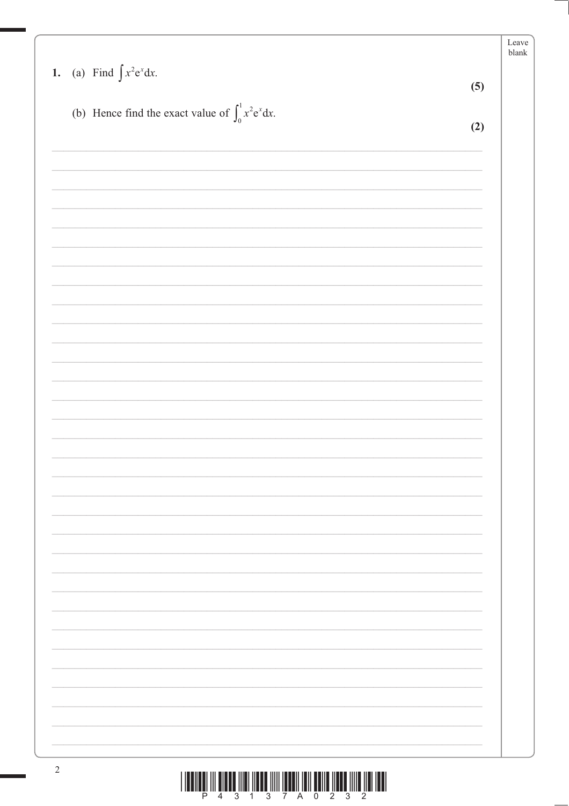| 1. (a) Find $\int x^2 e^x dx$ .                           | (5) |
|-----------------------------------------------------------|-----|
|                                                           |     |
| (b) Hence find the exact value of $\int_0^1 x^2 e^x dx$ . | (2) |
|                                                           |     |
|                                                           |     |
|                                                           |     |
|                                                           |     |
|                                                           |     |
|                                                           |     |
|                                                           |     |
|                                                           |     |
|                                                           |     |
|                                                           |     |
|                                                           |     |
|                                                           |     |
|                                                           |     |
|                                                           |     |
|                                                           |     |
|                                                           |     |
|                                                           |     |
|                                                           |     |
|                                                           |     |
|                                                           |     |
|                                                           |     |
|                                                           |     |
|                                                           |     |
|                                                           |     |
|                                                           |     |
|                                                           |     |
|                                                           |     |
|                                                           |     |
|                                                           |     |
|                                                           |     |
|                                                           |     |
|                                                           |     |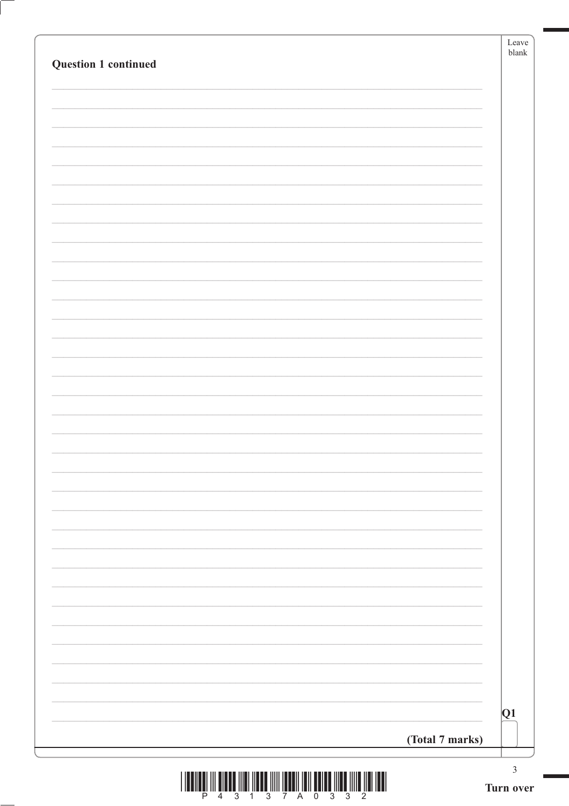| <b>Question 1 continued</b>                                                                                                                                                                      |                 | Leave<br>blank              |
|--------------------------------------------------------------------------------------------------------------------------------------------------------------------------------------------------|-----------------|-----------------------------|
|                                                                                                                                                                                                  |                 |                             |
|                                                                                                                                                                                                  |                 |                             |
|                                                                                                                                                                                                  |                 |                             |
|                                                                                                                                                                                                  |                 |                             |
|                                                                                                                                                                                                  |                 |                             |
|                                                                                                                                                                                                  |                 |                             |
|                                                                                                                                                                                                  |                 |                             |
|                                                                                                                                                                                                  |                 |                             |
|                                                                                                                                                                                                  |                 |                             |
|                                                                                                                                                                                                  |                 |                             |
|                                                                                                                                                                                                  |                 |                             |
|                                                                                                                                                                                                  |                 |                             |
|                                                                                                                                                                                                  |                 |                             |
|                                                                                                                                                                                                  |                 |                             |
|                                                                                                                                                                                                  | (Total 7 marks) | Q1                          |
|                                                                                                                                                                                                  |                 | $\ensuremath{\mathfrak{Z}}$ |
| <b>IIII</b> III<br>$\frac{1}{2}$ $\frac{1}{2}$ $\frac{1}{2}$ $\frac{1}{2}$ $\frac{1}{2}$ $\frac{1}{2}$<br>$\overline{4}$<br>$\overline{3}$<br>$\overline{1}$<br>$\overline{3}$<br>7 <sup>7</sup> |                 | Turn over                   |

ſ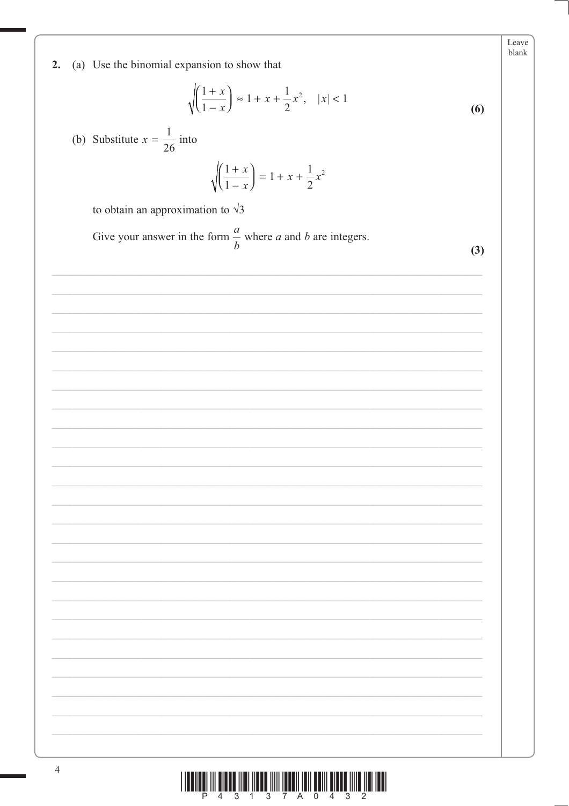

 $\overline{4}$ 



Leave blank (a) Use the binomial expansion to show that  $2.$  $\sqrt{\left(\frac{1+x}{1-x}\right)} \approx 1 + x + \frac{1}{2}x^2, \quad |x| < 1$  $(6)$ (b) Substitute  $x = \frac{1}{26}$  into  $\sqrt{\left(\frac{1+x}{1-x}\right)} = 1 + x + \frac{1}{2}x^2$ to obtain an approximation to  $\sqrt{3}$ Give your answer in the form  $\frac{a}{b}$  where *a* and *b* are integers.  $(3)$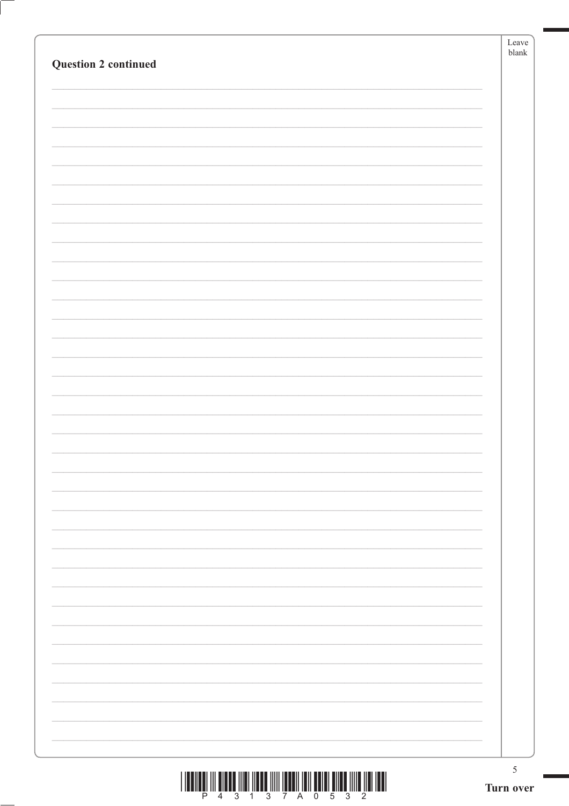|                             | $\operatorname{Leave}$<br>${\it blank}$ |
|-----------------------------|-----------------------------------------|
| <b>Question 2 continued</b> |                                         |
|                             |                                         |
|                             |                                         |
|                             |                                         |
|                             |                                         |
|                             |                                         |
|                             |                                         |
|                             |                                         |
|                             |                                         |
|                             |                                         |
|                             |                                         |
|                             |                                         |
|                             |                                         |
|                             |                                         |
|                             |                                         |
|                             |                                         |
|                             |                                         |
|                             |                                         |
|                             |                                         |
|                             |                                         |
|                             |                                         |
|                             |                                         |
|                             |                                         |
|                             |                                         |
|                             |                                         |
|                             |                                         |
|                             |                                         |
|                             |                                         |
|                             |                                         |
|                             |                                         |
|                             |                                         |
|                             |                                         |
|                             |                                         |
|                             |                                         |
|                             | $5\,$                                   |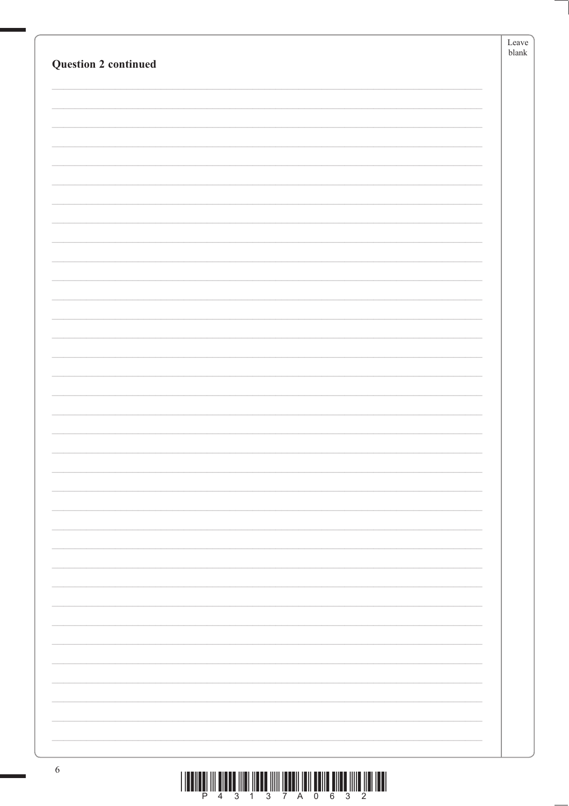| <b>Question 2 continued</b> | Leave<br>${\tt blank}$ |
|-----------------------------|------------------------|
|                             |                        |
|                             |                        |
|                             |                        |
|                             |                        |
|                             |                        |
|                             |                        |
|                             |                        |
|                             |                        |
|                             |                        |
|                             |                        |
|                             |                        |
|                             |                        |
|                             |                        |
|                             |                        |
|                             |                        |
|                             |                        |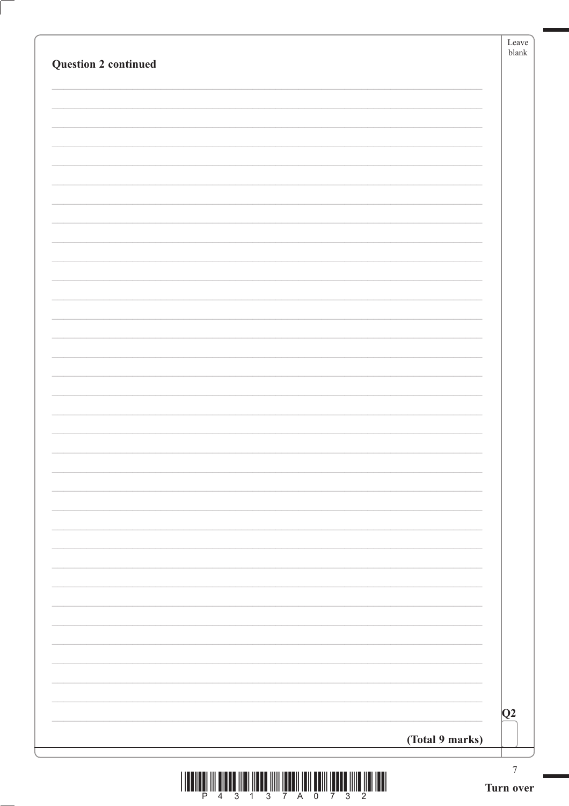| Question 2 continued |                 | $b$ lank |
|----------------------|-----------------|----------|
|                      |                 |          |
|                      |                 |          |
|                      |                 |          |
|                      |                 |          |
|                      |                 |          |
|                      |                 |          |
|                      |                 |          |
|                      |                 |          |
|                      |                 |          |
|                      |                 |          |
|                      |                 |          |
|                      |                 |          |
|                      |                 |          |
|                      |                 |          |
|                      | (Total 9 marks) | Q2       |



ſ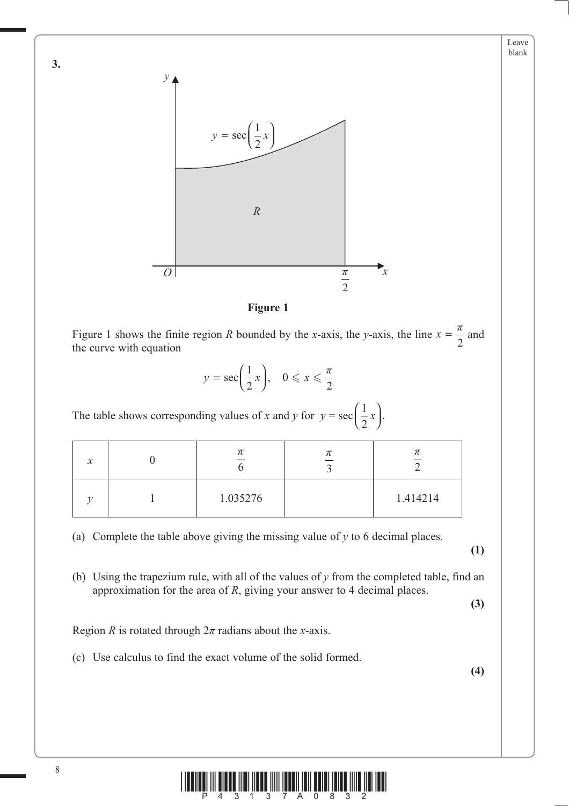

**Figure 1**

Figure 1 shows the finite region *R* bounded by the *x*-axis, the *y*-axis, the line  $x = \frac{\pi}{2}$  and the curve with equation the curve with equation

$$
y = \sec\left(\frac{1}{2}x\right), \quad 0 \leqslant x \leqslant \frac{\pi}{2}
$$

The table shows corresponding values of *x* and *y* for  $y = \sec \left( \frac{1}{2} \right)$ 2  $\begin{pmatrix} 1 \\ -x \end{pmatrix}$  $\left(\frac{1}{2}x\right)$ .

|  | π        | π        |
|--|----------|----------|
|  | 1.035276 | 1.414214 |

(a) Complete the table above giving the missing value of *y* to 6 decimal places.

**(1)**

Leave blank

 (b) Using the trapezium rule, with all of the values of *y* from the completed table, find an approximation for the area of *R*, giving your answer to 4 decimal places.

**(3)**

Region *R* is rotated through  $2\pi$  radians about the *x*-axis.

(c) Use calculus to find the exact volume of the solid formed.

**(4)**



**3.**

8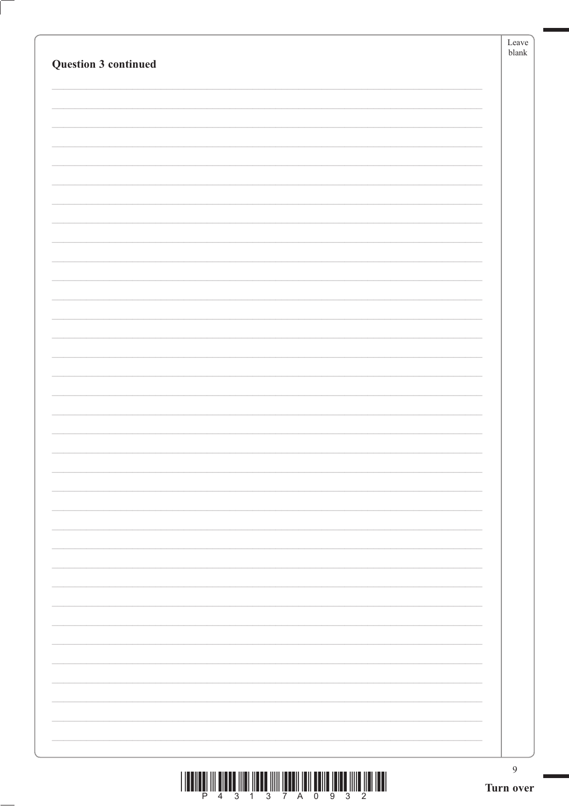|                      | Leave<br>${\it blank}$      |
|----------------------|-----------------------------|
| Question 3 continued |                             |
|                      |                             |
|                      |                             |
|                      |                             |
|                      |                             |
|                      |                             |
|                      |                             |
|                      |                             |
|                      |                             |
|                      |                             |
|                      |                             |
|                      |                             |
|                      |                             |
|                      |                             |
|                      |                             |
|                      |                             |
|                      |                             |
|                      |                             |
|                      |                             |
|                      |                             |
|                      |                             |
|                      |                             |
|                      |                             |
|                      |                             |
|                      |                             |
|                      |                             |
|                      |                             |
|                      |                             |
|                      |                             |
|                      |                             |
|                      |                             |
|                      | $\overline{9}$<br>Turn over |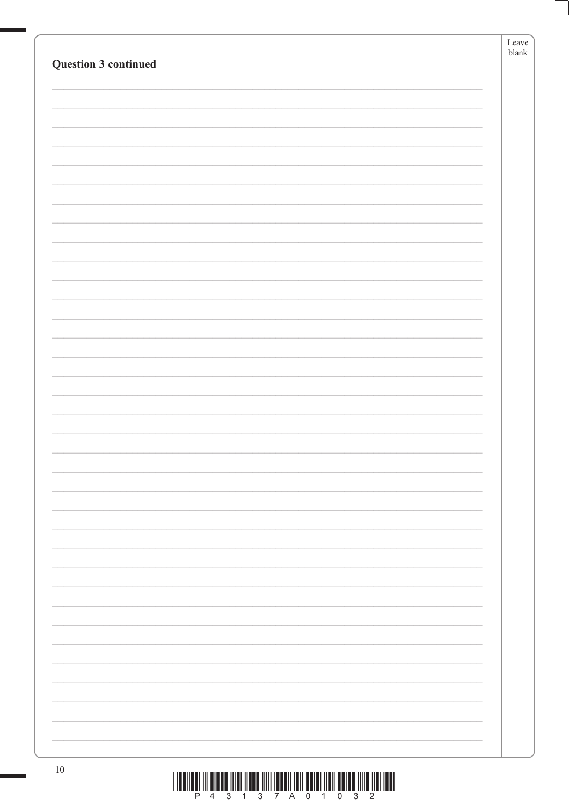| Question 3 continued |                                                                                       | Leave<br>${\tt blank}$ |
|----------------------|---------------------------------------------------------------------------------------|------------------------|
|                      |                                                                                       |                        |
|                      |                                                                                       |                        |
|                      |                                                                                       |                        |
|                      |                                                                                       |                        |
|                      |                                                                                       |                        |
|                      |                                                                                       |                        |
|                      |                                                                                       |                        |
|                      |                                                                                       |                        |
|                      |                                                                                       |                        |
|                      |                                                                                       |                        |
|                      |                                                                                       |                        |
|                      |                                                                                       |                        |
|                      |                                                                                       |                        |
|                      |                                                                                       |                        |
|                      |                                                                                       |                        |
|                      |                                                                                       |                        |
|                      |                                                                                       |                        |
|                      |                                                                                       |                        |
|                      |                                                                                       |                        |
|                      |                                                                                       |                        |
|                      |                                                                                       |                        |
|                      |                                                                                       |                        |
|                      |                                                                                       |                        |
|                      |                                                                                       |                        |
|                      |                                                                                       |                        |
|                      |                                                                                       |                        |
|                      |                                                                                       |                        |
|                      |                                                                                       |                        |
|                      |                                                                                       |                        |
| $10\,$               | T TOOTTOOT TIL ONDER TITOL TIDIGE TITIT TOODTI TOTT DOTET TIETT ONTAR TITIO TIDI TOOT |                        |

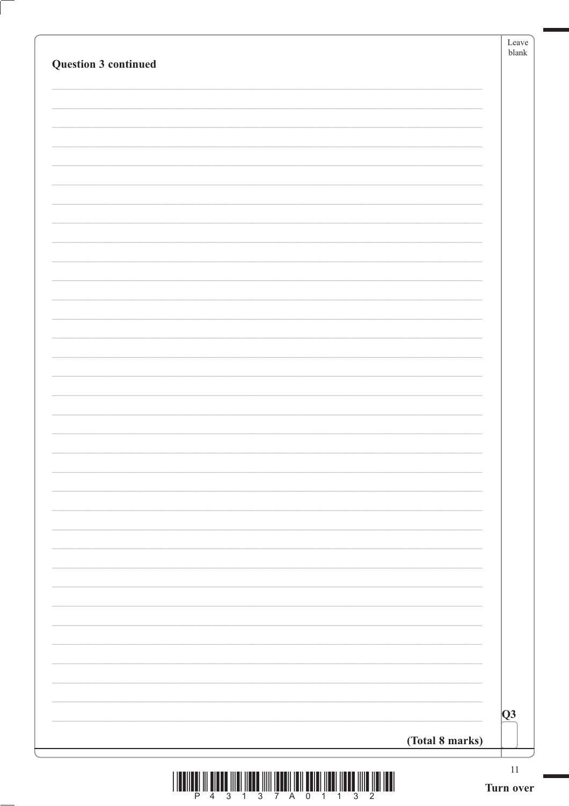| Question 3 continued | Leave<br>${\tt blank}$  |
|----------------------|-------------------------|
|                      |                         |
|                      |                         |
|                      |                         |
|                      |                         |
|                      |                         |
|                      |                         |
|                      |                         |
|                      |                         |
|                      |                         |
|                      |                         |
|                      |                         |
|                      |                         |
|                      |                         |
|                      |                         |
|                      |                         |
|                      |                         |
|                      |                         |
|                      |                         |
|                      |                         |
|                      |                         |
|                      |                         |
|                      |                         |
|                      |                         |
|                      |                         |
|                      | $\overline{\mathbf{Q}}$ |
| (Total 8 marks)      |                         |
|                      | 11                      |

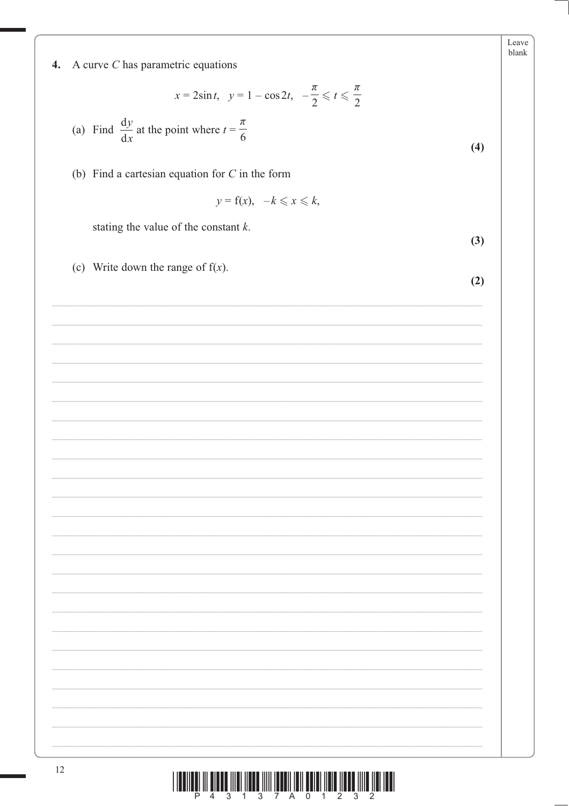| 4. |  |  | A curve $C$ has parametric equations |  |
|----|--|--|--------------------------------------|--|
|----|--|--|--------------------------------------|--|

 $x = 2\sin t$ ,  $y = 1 - \cos 2t$ ,  $-\frac{\pi}{2} \leq t \leq \frac{\pi}{2}$ 

(a) Find  $\frac{dy}{dx}$  at the point where  $t = \frac{\pi}{6}$ 

(b) Find a cartesian equation for  $C$  in the form

$$
y = f(x), \quad -k \leq x \leq k,
$$

stating the value of the constant  $k$ .

(c) Write down the range of  $f(x)$ .

 $(2)$ 

 $(3)$ 

| <u> Alian III dia amin'ny fivondronan-kaominin'i Amerika (no faritr'i Nord-</u> |  |  |  |  |  |  |
|---------------------------------------------------------------------------------|--|--|--|--|--|--|
|                                                                                 |  |  |  |  |  |  |

Ш

Leave blank

 $(4)$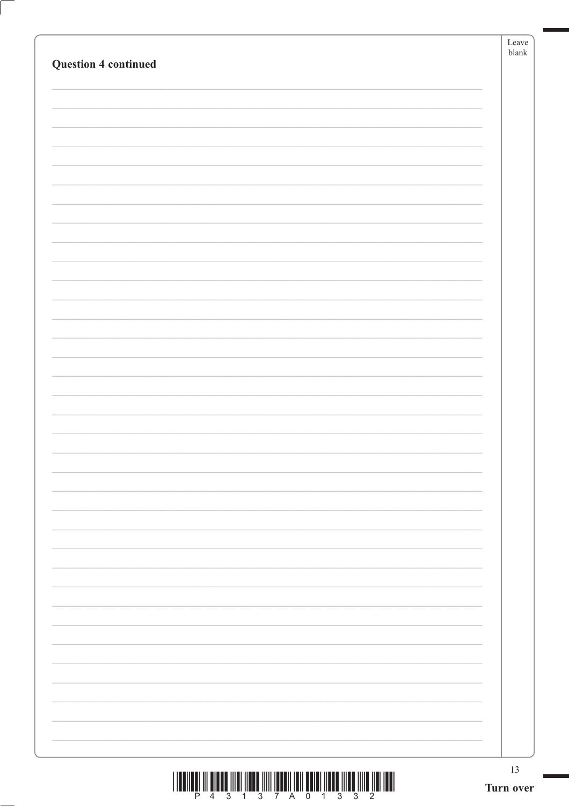| <b>Question 4 continued</b> | Leave<br>blank  |
|-----------------------------|-----------------|
|                             |                 |
|                             |                 |
|                             |                 |
|                             |                 |
|                             |                 |
|                             |                 |
|                             |                 |
|                             |                 |
|                             |                 |
|                             |                 |
|                             |                 |
|                             |                 |
|                             |                 |
|                             |                 |
|                             |                 |
|                             |                 |
|                             |                 |
|                             |                 |
|                             |                 |
|                             |                 |
|                             |                 |
|                             | 13<br>Turn over |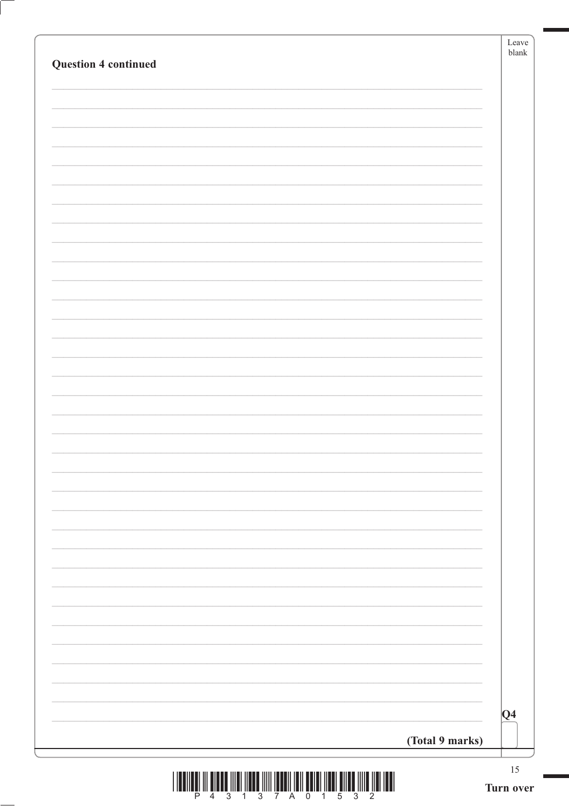| <b>Question 4 continued</b> |                 | Leave<br>${\tt blank}$ |
|-----------------------------|-----------------|------------------------|
|                             |                 |                        |
|                             |                 |                        |
|                             |                 |                        |
|                             |                 |                        |
|                             |                 |                        |
|                             |                 |                        |
|                             |                 |                        |
|                             |                 |                        |
|                             |                 |                        |
|                             |                 |                        |
|                             |                 |                        |
|                             |                 |                        |
|                             |                 |                        |
|                             |                 |                        |
|                             |                 |                        |
|                             |                 |                        |
|                             |                 |                        |
|                             |                 |                        |
|                             |                 |                        |
|                             |                 |                        |
|                             |                 |                        |
|                             |                 |                        |
|                             |                 |                        |
|                             |                 |                        |
|                             |                 |                        |
|                             |                 |                        |
|                             |                 |                        |
|                             |                 |                        |
|                             |                 |                        |
|                             |                 | Q4                     |
|                             | (Total 9 marks) |                        |
|                             |                 | 15                     |

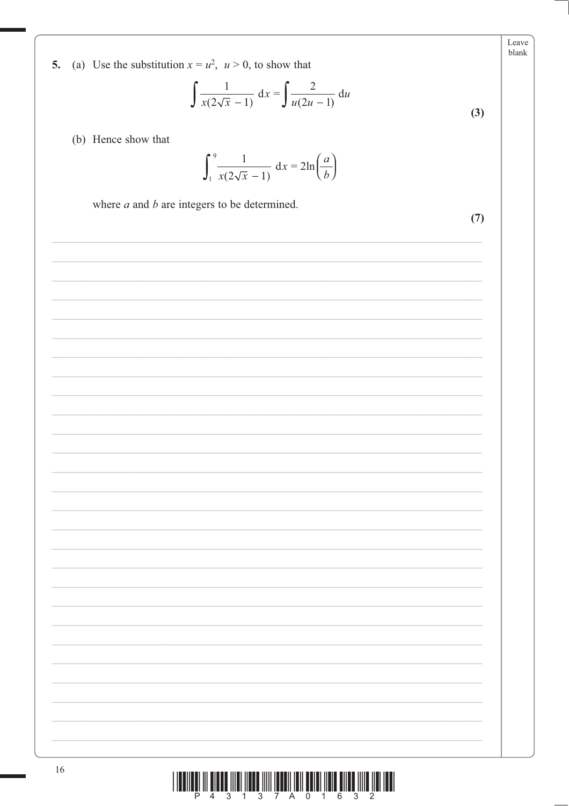Leave blank

5. (a) Use the substitution  $x = u^2$ ,  $u > 0$ , to show that

$$
\int \frac{1}{x(2\sqrt{x} - 1)} dx = \int \frac{2}{u(2u - 1)} du
$$
 (3)

(b) Hence show that

$$
\int_{1}^{9} \frac{1}{x(2\sqrt{x} - 1)} dx = 2\ln\left(\frac{a}{b}\right)
$$

where  $a$  and  $b$  are integers to be determined.

 $(7)$ 

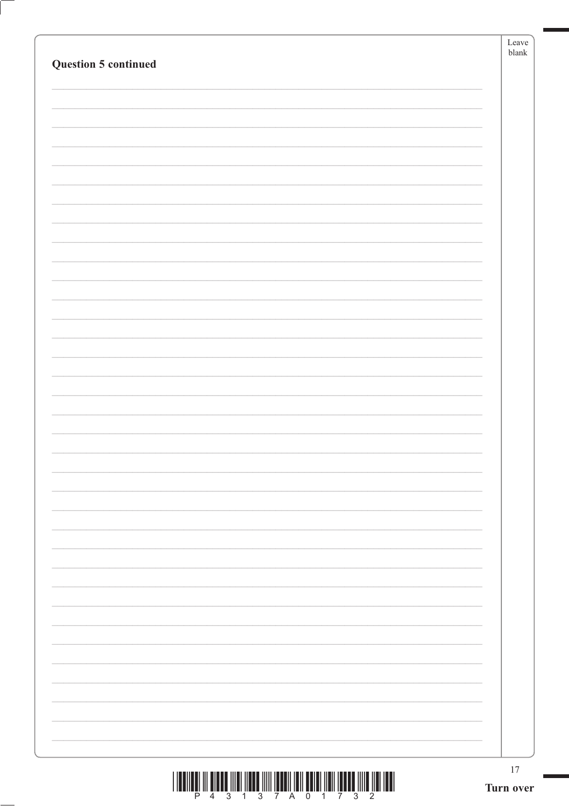| <b>Question 5 continued</b> | Leave<br>blank  |
|-----------------------------|-----------------|
|                             |                 |
|                             |                 |
|                             |                 |
|                             |                 |
|                             |                 |
|                             |                 |
|                             |                 |
|                             |                 |
|                             |                 |
|                             |                 |
|                             |                 |
|                             |                 |
|                             |                 |
|                             |                 |
|                             |                 |
|                             |                 |
|                             |                 |
|                             |                 |
|                             |                 |
|                             |                 |
|                             |                 |
|                             |                 |
|                             |                 |
|                             |                 |
|                             |                 |
|                             |                 |
|                             |                 |
|                             |                 |
|                             |                 |
|                             |                 |
|                             |                 |
|                             |                 |
|                             | 17<br>Turn over |

 $\left($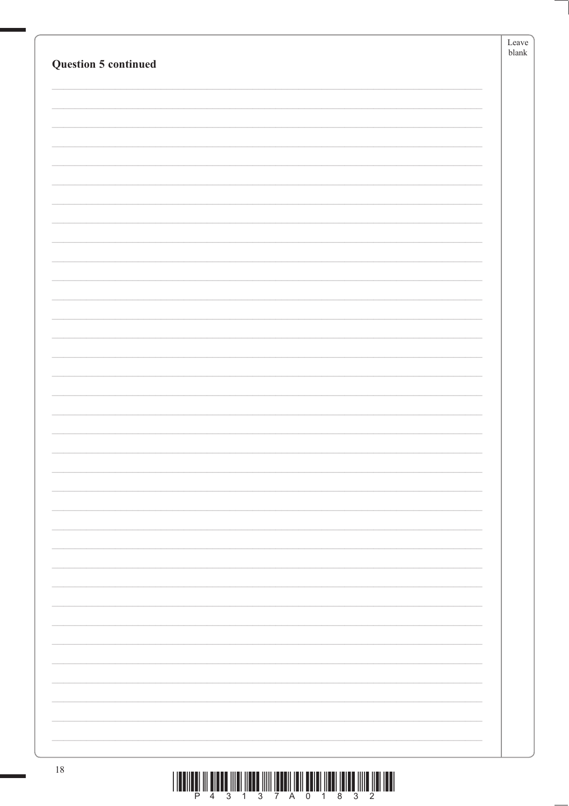| Question 5 continued | Leave  <br>${\tt blank}$ |
|----------------------|--------------------------|
|                      |                          |
|                      |                          |
|                      |                          |
|                      |                          |
|                      |                          |
|                      |                          |
|                      |                          |
|                      |                          |
|                      |                          |
|                      |                          |
|                      |                          |
|                      |                          |
|                      |                          |
|                      |                          |
|                      |                          |
|                      |                          |
|                      |                          |
|                      |                          |
|                      |                          |
|                      |                          |
|                      |                          |
|                      |                          |
|                      |                          |
|                      |                          |
|                      |                          |
|                      |                          |
|                      |                          |
|                      |                          |
|                      |                          |
|                      |                          |

 $\frac{1}{2}\left(\frac{1}{2}\right)\left(\frac{1}{2}\right)\left(\frac{1}{2}\right)\left(\frac{1}{2}\right)\left(\frac{1}{2}\right)\left(\frac{1}{2}\right)\left(\frac{1}{2}\right)\left(\frac{1}{2}\right)\left(\frac{1}{2}\right)\left(\frac{1}{2}\right)\left(\frac{1}{2}\right)\left(\frac{1}{2}\right)\left(\frac{1}{2}\right)\left(\frac{1}{2}\right)\left(\frac{1}{2}\right)\left(\frac{1}{2}\right)\left(\frac{1}{2}\right)\left(\frac{1}{2}\right)\left(\frac{1}{2}\right)\left(\frac{1}{2}\right)\left(\frac{1}{2}\right)\left(\frac$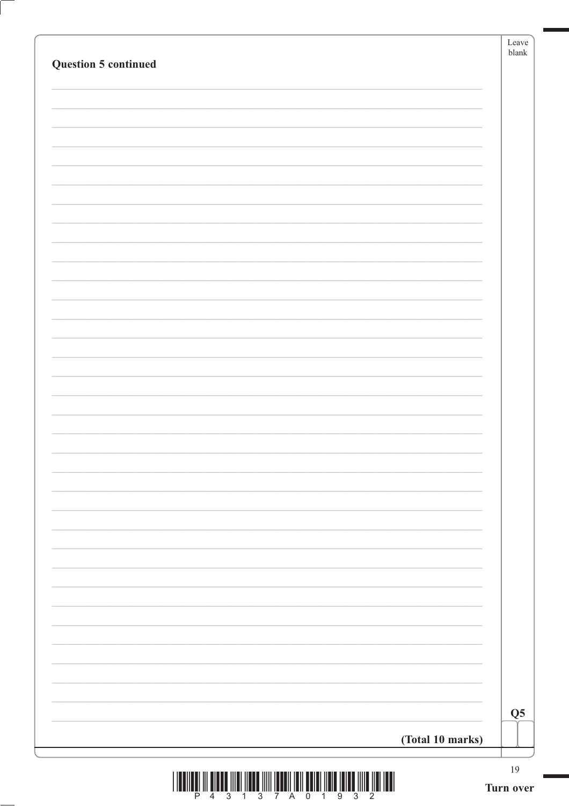|                             | Leave<br>$b$ lank |
|-----------------------------|-------------------|
| <b>Question 5 continued</b> |                   |
|                             |                   |
|                             |                   |
|                             |                   |
|                             |                   |
|                             |                   |
|                             |                   |
|                             |                   |
|                             |                   |
|                             |                   |
|                             |                   |
|                             |                   |
|                             |                   |
|                             |                   |
|                             |                   |
|                             |                   |
|                             |                   |
|                             |                   |
|                             |                   |
|                             |                   |
|                             |                   |
|                             |                   |
|                             |                   |
|                             |                   |
|                             |                   |
|                             |                   |
|                             |                   |
|                             |                   |
|                             |                   |
|                             |                   |
|                             | Q <sub>5</sub>    |
| (Total 10 marks)            |                   |
|                             | $19\,$            |

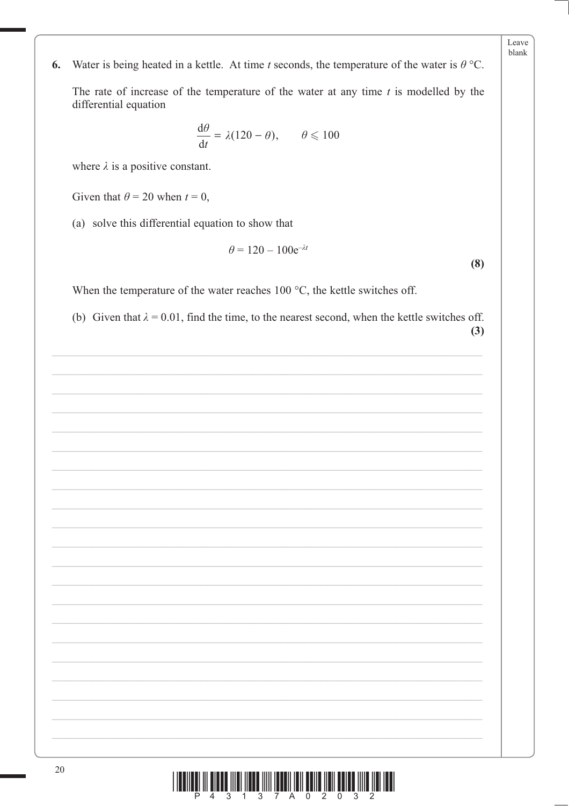- Leave blank
- Water is being heated in a kettle. At time t seconds, the temperature of the water is  $\theta$  °C. 6.

The rate of increase of the temperature of the water at any time  $t$  is modelled by the differential equation

$$
\frac{\mathrm{d}\theta}{\mathrm{d}t} = \lambda(120 - \theta), \qquad \theta \leqslant 100
$$

where  $\lambda$  is a positive constant.

Given that  $\theta = 20$  when  $t = 0$ ,

(a) solve this differential equation to show that

$$
\theta = 120 - 100e^{-\lambda t}
$$

 $(8)$ 

When the temperature of the water reaches  $100\text{ °C}$ , the kettle switches off.

(b) Given that  $\lambda = 0.01$ , find the time, to the nearest second, when the kettle switches off.  $(3)$ 



20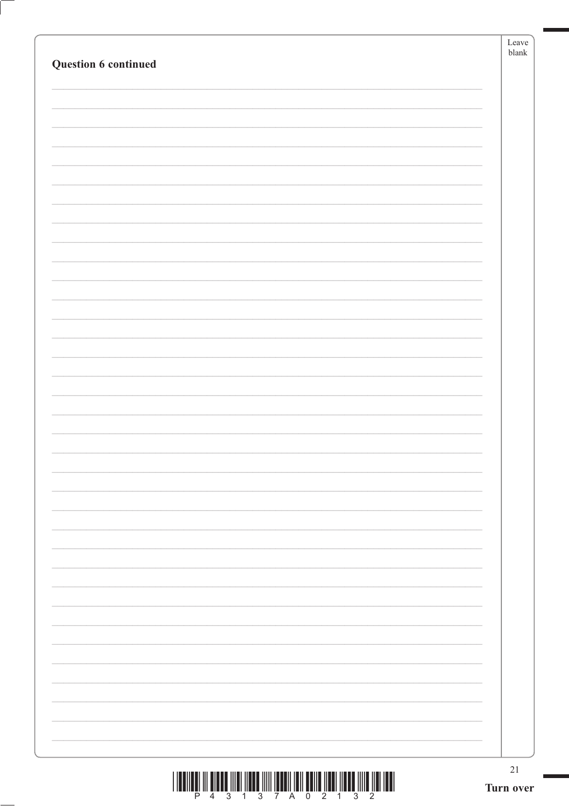| Question 6 continued | Leave<br>blank  |
|----------------------|-----------------|
|                      |                 |
|                      |                 |
|                      |                 |
|                      |                 |
|                      |                 |
|                      |                 |
|                      |                 |
|                      |                 |
|                      |                 |
|                      |                 |
|                      |                 |
|                      |                 |
|                      |                 |
|                      |                 |
|                      |                 |
|                      |                 |
|                      | 21<br>Turn over |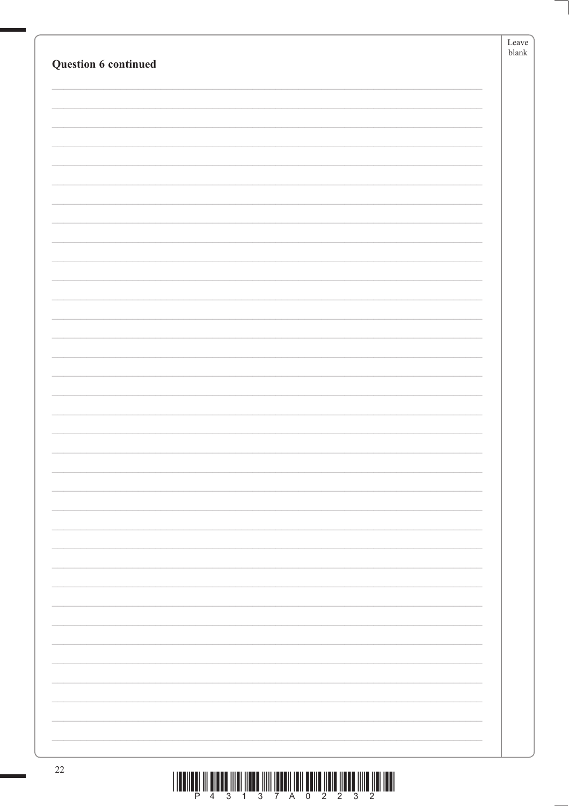| Question 6 continued                                                                                       | Leave<br>blank |
|------------------------------------------------------------------------------------------------------------|----------------|
|                                                                                                            |                |
|                                                                                                            |                |
|                                                                                                            |                |
|                                                                                                            |                |
|                                                                                                            |                |
|                                                                                                            |                |
|                                                                                                            |                |
|                                                                                                            |                |
|                                                                                                            |                |
|                                                                                                            |                |
|                                                                                                            |                |
|                                                                                                            |                |
|                                                                                                            |                |
|                                                                                                            |                |
|                                                                                                            |                |
|                                                                                                            |                |
|                                                                                                            |                |
|                                                                                                            |                |
|                                                                                                            |                |
|                                                                                                            |                |
|                                                                                                            |                |
|                                                                                                            |                |
|                                                                                                            |                |
|                                                                                                            |                |
|                                                                                                            |                |
|                                                                                                            |                |
|                                                                                                            |                |
| $22\,$<br>THE REAL PROPERTY OF REAL PROPERTY INTO THE REAL PROPERTY OF A REAL PROPERTY OF A REAL PROPERTY. |                |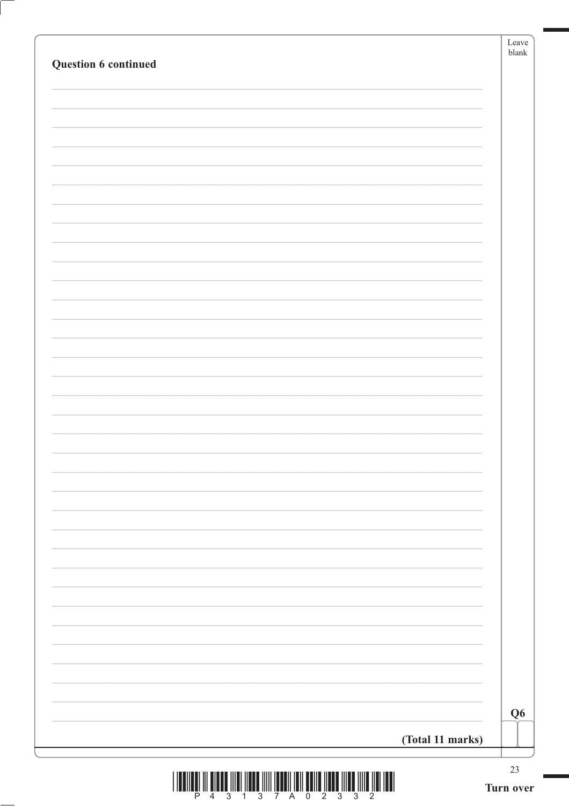|                      | Leave<br>$b$ lank |
|----------------------|-------------------|
| Question 6 continued |                   |
|                      |                   |
|                      |                   |
|                      |                   |
|                      |                   |
|                      |                   |
|                      |                   |
|                      |                   |
|                      |                   |
|                      |                   |
|                      |                   |
|                      |                   |
|                      |                   |
|                      |                   |
|                      |                   |
|                      |                   |
|                      |                   |
|                      |                   |
|                      |                   |
|                      |                   |
|                      |                   |
|                      |                   |
|                      |                   |
|                      |                   |
|                      |                   |
|                      |                   |
|                      |                   |
|                      |                   |
|                      |                   |
|                      |                   |
|                      |                   |
|                      |                   |
|                      |                   |
|                      |                   |
|                      | Q <sub>6</sub>    |
|                      |                   |
| (Total 11 marks)     |                   |
|                      | $23\,$            |

 $\begin{array}{c} \text{if} \ \text{if} \ \text{if} \ \text{if} \ \text{if} \ \text{if} \ \text{if} \ \text{if} \ \text{if} \ \text{if} \ \text{if} \ \text{if} \ \text{if} \ \text{if} \ \text{if} \ \text{if} \ \text{if} \ \text{if} \ \text{if} \ \text{if} \ \text{if} \ \text{if} \ \text{if} \ \text{if} \ \text{if} \ \text{if} \ \text{if} \ \text{if} \ \text{if} \ \text{if} \ \text{if} \ \text{if} \ \text{if} \ \text{if} \ \text{if} \ \text{$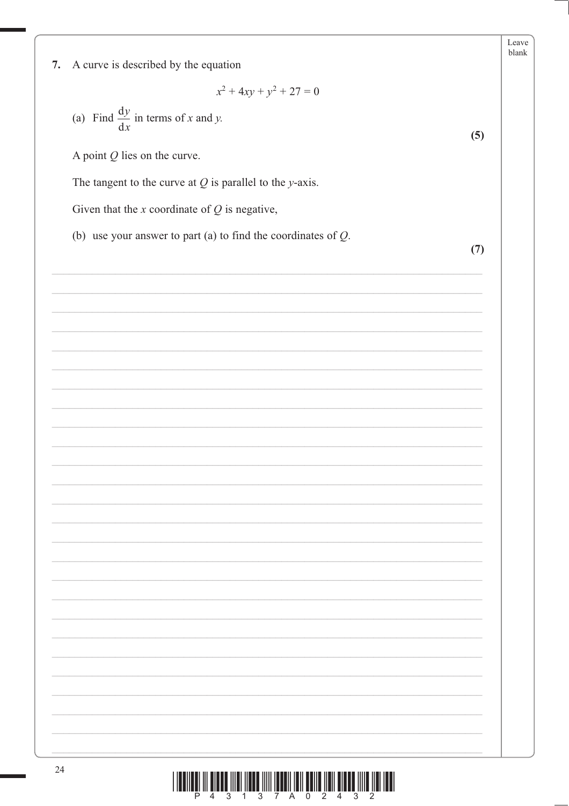|                                                                  |     | Leave<br>blank |
|------------------------------------------------------------------|-----|----------------|
| A curve is described by the equation<br>7.                       |     |                |
| $x^2 + 4xy + y^2 + 27 = 0$                                       |     |                |
| (a) Find $\frac{dy}{dx}$ in terms of x and y.                    | (5) |                |
| A point $Q$ lies on the curve.                                   |     |                |
| The tangent to the curve at $Q$ is parallel to the y-axis.       |     |                |
| Given that the $x$ coordinate of $Q$ is negative,                |     |                |
| (b) use your answer to part (a) to find the coordinates of $Q$ . | (7) |                |
|                                                                  |     |                |
|                                                                  |     |                |
|                                                                  |     |                |
|                                                                  |     |                |
|                                                                  |     |                |
|                                                                  |     |                |
|                                                                  |     |                |
|                                                                  |     |                |
|                                                                  |     |                |
|                                                                  |     |                |
|                                                                  |     |                |
|                                                                  |     |                |
|                                                                  |     |                |
|                                                                  |     |                |
|                                                                  |     |                |
|                                                                  |     |                |
|                                                                  |     |                |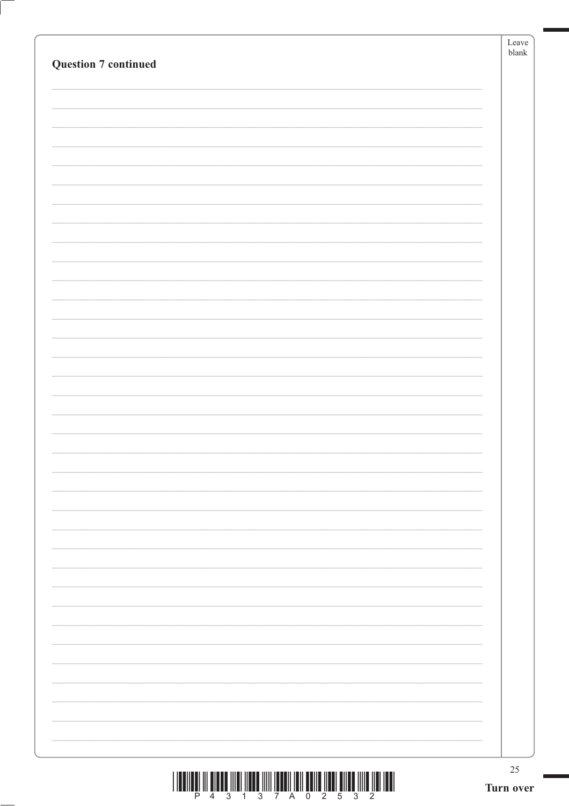| <b>Question 7 continued</b> | Leave<br>blank  |
|-----------------------------|-----------------|
|                             |                 |
|                             |                 |
|                             |                 |
|                             |                 |
|                             |                 |
|                             |                 |
|                             |                 |
|                             |                 |
|                             |                 |
|                             |                 |
|                             |                 |
|                             |                 |
|                             |                 |
|                             |                 |
|                             |                 |
|                             |                 |
|                             |                 |
|                             |                 |
|                             |                 |
|                             |                 |
|                             |                 |
|                             |                 |
|                             |                 |
|                             |                 |
|                             |                 |
|                             | 25<br>Turn over |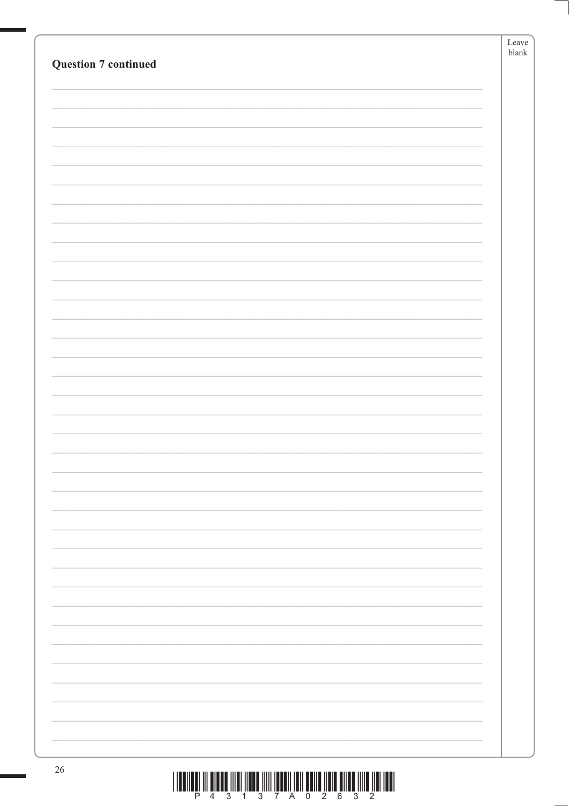|                             | Leave         |
|-----------------------------|---------------|
|                             | ${\tt blank}$ |
| <b>Question 7 continued</b> |               |
|                             |               |
|                             |               |
|                             |               |
|                             |               |
|                             |               |
|                             |               |
|                             |               |
|                             |               |
|                             |               |
|                             |               |
|                             |               |
|                             |               |
|                             |               |
|                             |               |
|                             |               |
|                             |               |
|                             |               |
|                             |               |
|                             |               |
|                             |               |
|                             |               |
|                             |               |
|                             |               |
|                             |               |
|                             |               |
|                             |               |
|                             |               |
|                             |               |
|                             |               |
|                             |               |
|                             |               |
|                             |               |
|                             |               |
|                             |               |
|                             |               |
|                             |               |
|                             |               |
|                             |               |
|                             |               |
|                             |               |
|                             |               |
|                             |               |
|                             |               |
|                             |               |
|                             |               |
|                             |               |
|                             |               |
| $26\,$                      |               |

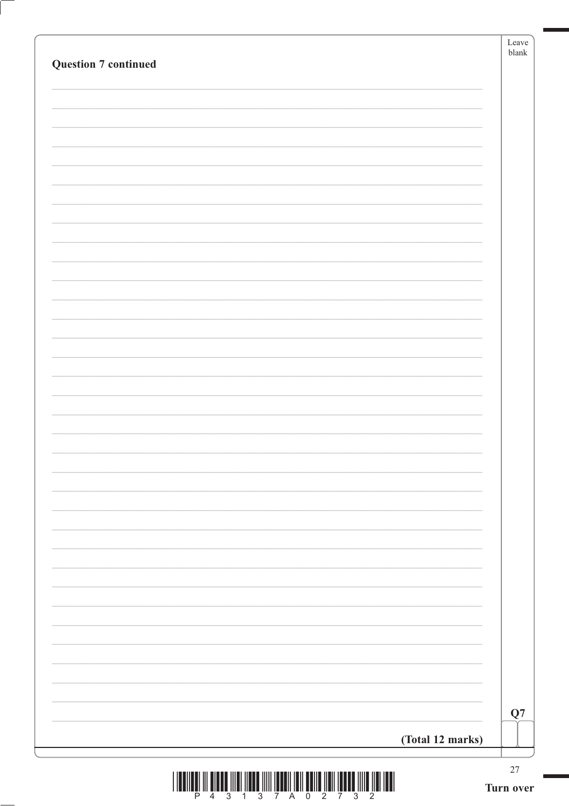|                             | Leave<br>$b$ lank |
|-----------------------------|-------------------|
| <b>Question 7 continued</b> |                   |
|                             |                   |
|                             |                   |
|                             |                   |
|                             |                   |
|                             |                   |
|                             |                   |
|                             |                   |
|                             |                   |
|                             |                   |
|                             |                   |
|                             |                   |
|                             |                   |
|                             |                   |
|                             |                   |
|                             |                   |
|                             |                   |
|                             |                   |
|                             |                   |
|                             |                   |
|                             |                   |
|                             |                   |
|                             |                   |
|                             |                   |
|                             |                   |
|                             |                   |
|                             |                   |
|                             |                   |
|                             |                   |
|                             |                   |
|                             |                   |
|                             |                   |
|                             | Q7                |
| (Total 12 marks)            |                   |
|                             |                   |
|                             | $27\,$            |

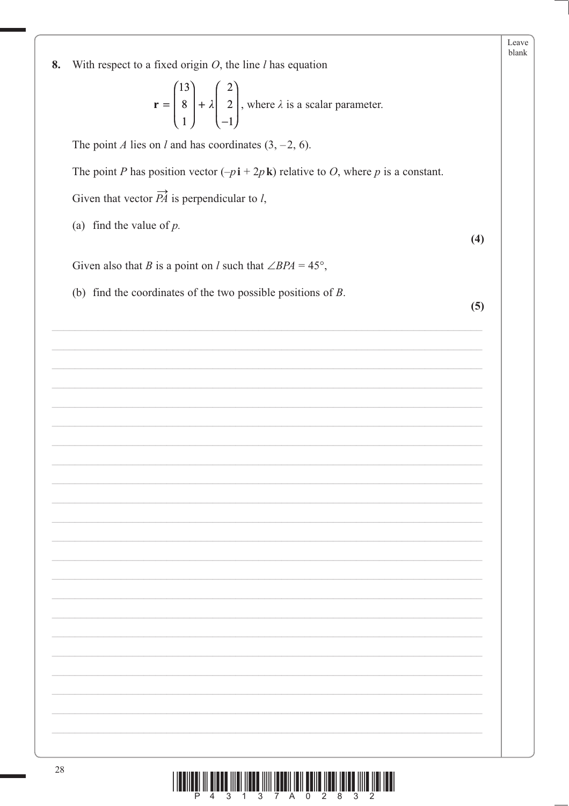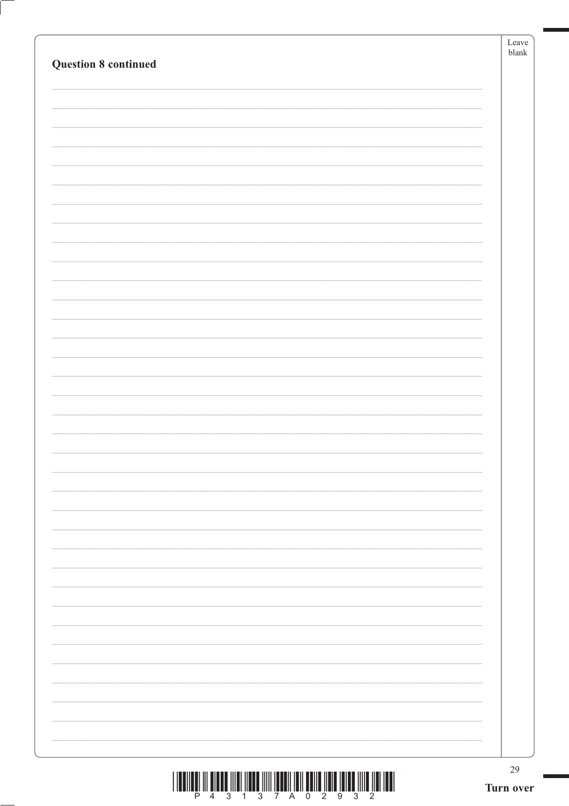| <b>Question 8 continued</b> | Leave<br>${\it blank}$ |
|-----------------------------|------------------------|
|                             |                        |
|                             |                        |
|                             |                        |
|                             |                        |
|                             |                        |
|                             |                        |
|                             |                        |
|                             |                        |
|                             |                        |
|                             |                        |
|                             |                        |
|                             |                        |
|                             |                        |
|                             |                        |
|                             |                        |
|                             |                        |
|                             |                        |
|                             |                        |
|                             |                        |
|                             |                        |
|                             |                        |
|                             |                        |
|                             |                        |
|                             |                        |
|                             |                        |
|                             |                        |
|                             | 29<br>Turn over        |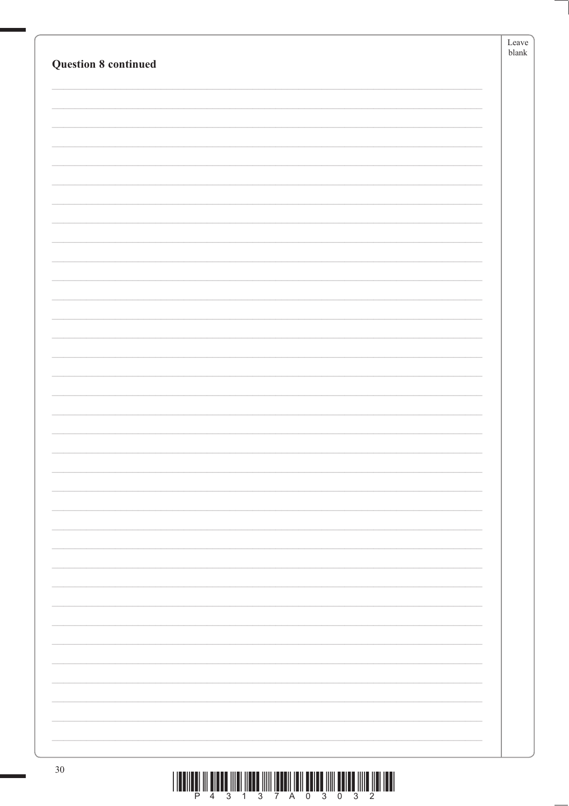| <b>Question 8 continued</b> | Leave<br>$b$ lank |
|-----------------------------|-------------------|
|                             |                   |
|                             |                   |
|                             |                   |
|                             |                   |
|                             |                   |
|                             |                   |
|                             |                   |
|                             |                   |
|                             |                   |
|                             |                   |
|                             |                   |
|                             |                   |
|                             |                   |
|                             |                   |
|                             |                   |
|                             |                   |
|                             |                   |
|                             |                   |
|                             |                   |
|                             |                   |
|                             |                   |
|                             |                   |
|                             |                   |
|                             |                   |
|                             |                   |
|                             |                   |
|                             |                   |
|                             |                   |
|                             |                   |
|                             |                   |
|                             |                   |
|                             |                   |
|                             |                   |
| $30\,$                      |                   |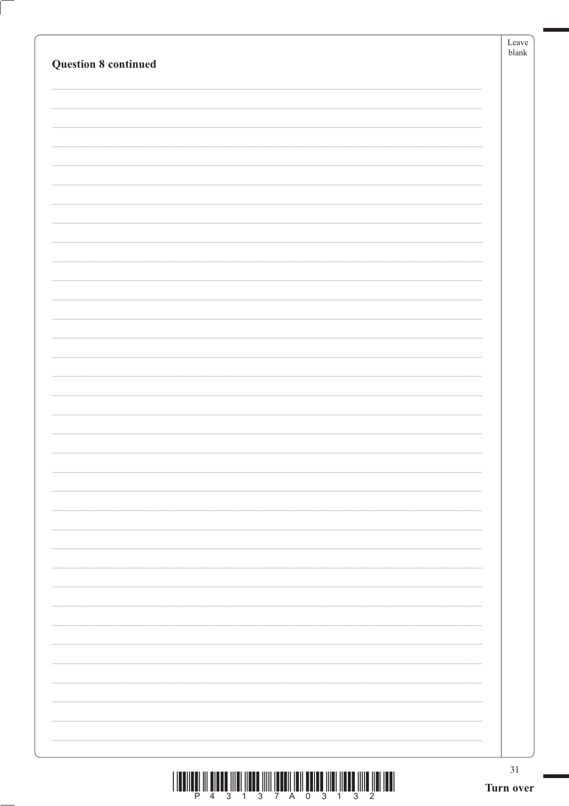| <b>Question 8 continued</b> | Leave<br>blank  |
|-----------------------------|-----------------|
|                             |                 |
|                             |                 |
|                             |                 |
|                             |                 |
|                             |                 |
|                             |                 |
|                             |                 |
|                             |                 |
|                             |                 |
|                             |                 |
|                             |                 |
|                             |                 |
|                             |                 |
|                             |                 |
|                             |                 |
|                             |                 |
|                             |                 |
|                             |                 |
|                             |                 |
|                             |                 |
|                             |                 |
|                             |                 |
|                             |                 |
|                             | 31<br>Turn over |